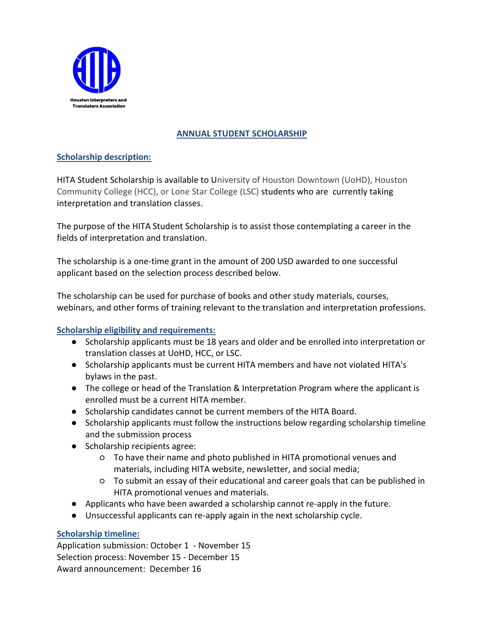

# **ANNUAL STUDENT SCHOLARSHIP**

# **Scholarship description:**

HITA Student Scholarship is available to University of Houston Downtown (UoHD), Houston Community College (HCC), or Lone Star College (LSC) students who are currently taking interpretation and translation classes.

The purpose of the HITA Student Scholarship is to assist those contemplating a career in the fields of interpretation and translation.

The scholarship is a one-time grant in the amount of 200 USD awarded to one successful applicant based on the selection process described below.

The scholarship can be used for purchase of books and other study materials, courses, webinars, and other forms of training relevant to the translation and interpretation professions.

# **Scholarship eligibility and requirements:**

- Scholarship applicants must be 18 years and older and be enrolled into interpretation or translation classes at UoHD, HCC, or LSC.
- Scholarship applicants must be current HITA members and have not violated HITA's bylaws in the past.
- The college or head of the Translation & Interpretation Program where the applicant is enrolled must be a current HITA member.
- Scholarship candidates cannot be current members of the HITA Board.
- Scholarship applicants must follow the instructions below regarding scholarship timeline and the submission process
- Scholarship recipients agree:
	- To have their name and photo published in HITA promotional venues and materials, including HITA website, newsletter, and social media;
	- To submit an essay of their educational and career goals that can be published in HITA promotional venues and materials.
- Applicants who have been awarded a scholarship cannot re-apply in the future.
- Unsuccessful applicants can re-apply again in the next scholarship cycle.

# **Scholarship timeline:**

Application submission: October 1 - November 15 Selection process: November 15 - December 15 Award announcement: December 16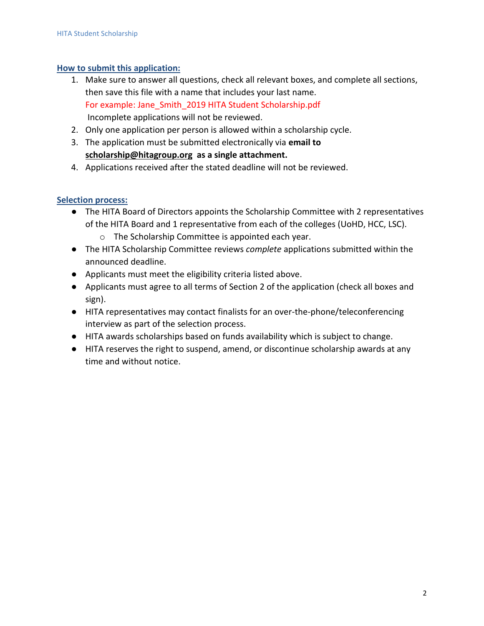## **How to submit this application:**

- 1. Make sure to answer all questions, check all relevant boxes, and complete all sections, then save this file with a name that includes your last name. For example: Jane\_Smith\_2019 HITA Student Scholarship.pdf Incomplete applications will not be reviewed.
- 2. Only one application per person is allowed within a scholarship cycle.
- 3. The application must be submitted electronically via **email to [scholarship@hitagroup.org](mailto:scholarship@hitagroup.org) as a single attachment.**
- 4. Applications received after the stated deadline will not be reviewed.

## **Selection process:**

- The HITA Board of Directors appoints the Scholarship Committee with 2 representatives of the HITA Board and 1 representative from each of the colleges (UoHD, HCC, LSC).
	- o The Scholarship Committee is appointed each year.
- The HITA Scholarship Committee reviews *complete* applications submitted within the announced deadline.
- Applicants must meet the eligibility criteria listed above.
- Applicants must agree to all terms of Section 2 of the application (check all boxes and sign).
- HITA representatives may contact finalists for an over-the-phone/teleconferencing interview as part of the selection process.
- HITA awards scholarships based on funds availability which is subject to change.
- HITA reserves the right to suspend, amend, or discontinue scholarship awards at any time and without notice.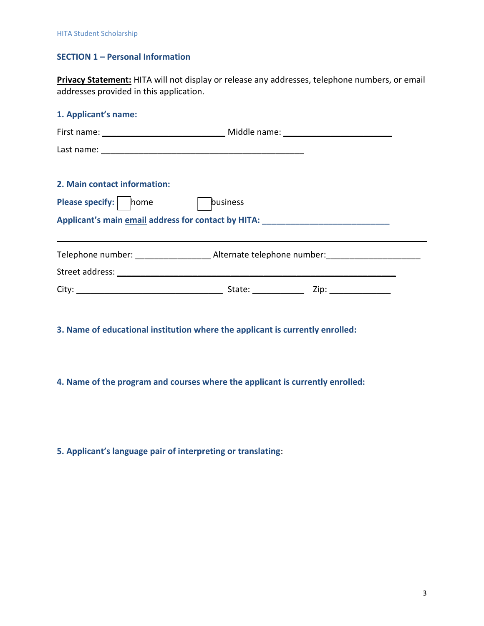# **SECTION 1 – Personal Information**

**Privacy Statement:** HITA will not display or release any addresses, telephone numbers, or email addresses provided in this application.

| 1. Applicant's name:                                                              |          |  |  |
|-----------------------------------------------------------------------------------|----------|--|--|
|                                                                                   |          |  |  |
|                                                                                   |          |  |  |
|                                                                                   |          |  |  |
| 2. Main contact information:                                                      |          |  |  |
| <b>Please specify:</b> home                                                       | business |  |  |
| Applicant's main email address for contact by HITA: _____________________________ |          |  |  |
|                                                                                   |          |  |  |
|                                                                                   |          |  |  |
|                                                                                   |          |  |  |

**3. Name of educational institution where the applicant is currently enrolled:**

**4. Name of the program and courses where the applicant is currently enrolled:**

**5. Applicant's language pair of interpreting or translating**: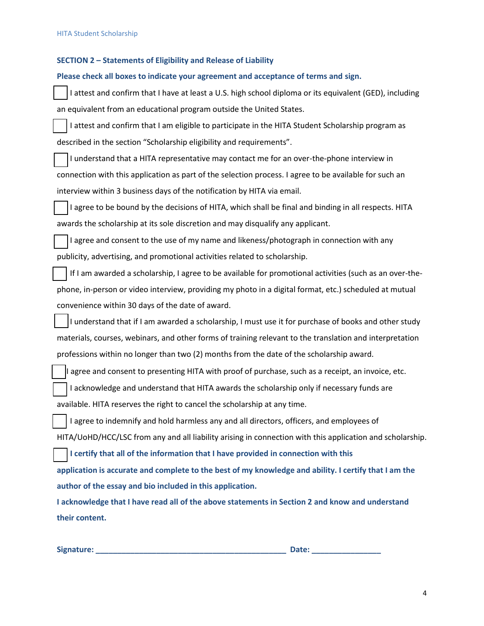### **SECTION 2 – Statements of Eligibility and Release of Liability**

#### **Please check all boxes to indicate your agreement and acceptance of terms and sign.**

I attest and confirm that I have at least a U.S. high school diploma or its equivalent (GED), including an equivalent from an educational program outside the United States.

I attest and confirm that I am eligible to participate in the HITA Student Scholarship program as described in the section "Scholarship eligibility and requirements".

☐ I understand that a HITA representative may contact me for an over-the-phone interview in connection with this application as part of the selection process. I agree to be available for such an interview within 3 business days of the notification by HITA via email.

I agree to be bound by the decisions of HITA, which shall be final and binding in all respects. HITA awards the scholarship at its sole discretion and may disqualify any applicant.

I agree and consent to the use of my name and likeness/photograph in connection with any publicity, advertising, and promotional activities related to scholarship.

If I am awarded a scholarship, I agree to be available for promotional activities (such as an over-thephone, in-person or video interview, providing my photo in a digital format, etc.) scheduled at mutual convenience within 30 days of the date of award.

I understand that if I am awarded a scholarship, I must use it for purchase of books and other study materials, courses, webinars, and other forms of training relevant to the translation and interpretation professions within no longer than two (2) months from the date of the scholarship award.

I agree and consent to presenting HITA with proof of purchase, such as a receipt, an invoice, etc.

☐ I acknowledge and understand that HITA awards the scholarship only if necessary funds are

available. HITA reserves the right to cancel the scholarship at any time.

I agree to indemnify and hold harmless any and all directors, officers, and employees of HITA/UoHD/HCC/LSC from any and all liability arising in connection with this application and scholarship.

☐ **I certify that all of the information that I have provided in connection with this**

**application is accurate and complete to the best of my knowledge and ability. I certify that I am the author of the essay and bio included in this application.** 

**I acknowledge that I have read all of the above statements in Section 2 and know and understand their content.**

**Signature: \_\_\_\_\_\_\_\_\_\_\_\_\_\_\_\_\_\_\_\_\_\_\_\_\_\_\_\_\_\_\_\_\_\_\_\_\_\_\_\_\_\_\_\_ Date: \_\_\_\_\_\_\_\_\_\_\_\_\_\_\_\_**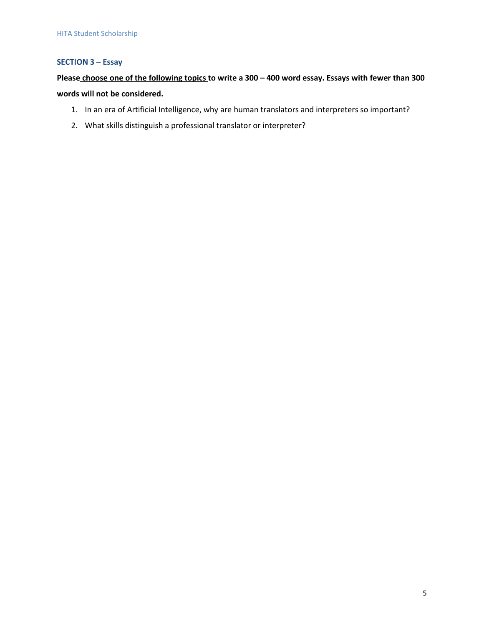## **SECTION 3 – Essay**

# **Please choose one of the following topics to write a 300 – 400 word essay. Essays with fewer than 300 words will not be considered.**

- 1. In an era of Artificial Intelligence, why are human translators and interpreters so important?
- 2. What skills distinguish a professional translator or interpreter?